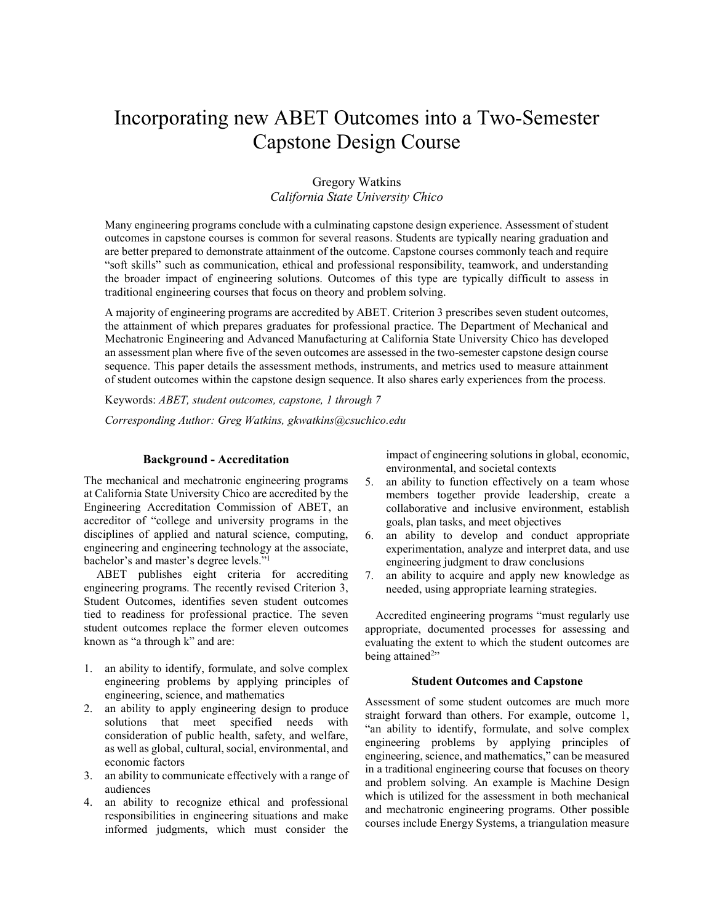# Incorporating new ABET Outcomes into a Two-Semester Capstone Design Course

## Gregory Watkins *California State University Chico*

Many engineering programs conclude with a culminating capstone design experience. Assessment of student outcomes in capstone courses is common for several reasons. Students are typically nearing graduation and are better prepared to demonstrate attainment of the outcome. Capstone courses commonly teach and require "soft skills" such as communication, ethical and professional responsibility, teamwork, and understanding the broader impact of engineering solutions. Outcomes of this type are typically difficult to assess in traditional engineering courses that focus on theory and problem solving.

A majority of engineering programs are accredited by ABET. Criterion 3 prescribes seven student outcomes, the attainment of which prepares graduates for professional practice. The Department of Mechanical and Mechatronic Engineering and Advanced Manufacturing at California State University Chico has developed an assessment plan where five of the seven outcomes are assessed in the two-semester capstone design course sequence. This paper details the assessment methods, instruments, and metrics used to measure attainment of student outcomes within the capstone design sequence. It also shares early experiences from the process.

Keywords: *ABET, student outcomes, capstone, 1 through 7*

*Corresponding Author: Greg Watkins, gkwatkins@csuchico.edu*

## **Background - Accreditation**

The mechanical and mechatronic engineering programs at California State University Chico are accredited by the Engineering Accreditation Commission of ABET, an accreditor of "college and university programs in the disciplines of applied and natural science, computing, engineering and engineering technology at the associate, bachelor's and master's degree levels."1

ABET publishes eight criteria for accrediting engineering programs. The recently revised Criterion 3, Student Outcomes, identifies seven student outcomes tied to readiness for professional practice. The seven student outcomes replace the former eleven outcomes known as "a through k" and are:

- 1. an ability to identify, formulate, and solve complex engineering problems by applying principles of engineering, science, and mathematics
- 2. an ability to apply engineering design to produce solutions that meet specified needs with consideration of public health, safety, and welfare, as well as global, cultural, social, environmental, and economic factors
- 3. an ability to communicate effectively with a range of audiences
- 4. an ability to recognize ethical and professional responsibilities in engineering situations and make informed judgments, which must consider the

impact of engineering solutions in global, economic, environmental, and societal contexts

- 5. an ability to function effectively on a team whose members together provide leadership, create a collaborative and inclusive environment, establish goals, plan tasks, and meet objectives
- 6. an ability to develop and conduct appropriate experimentation, analyze and interpret data, and use engineering judgment to draw conclusions
- 7. an ability to acquire and apply new knowledge as needed, using appropriate learning strategies.

Accredited engineering programs "must regularly use appropriate, documented processes for assessing and evaluating the extent to which the student outcomes are being attained<sup>2</sup>"

## **Student Outcomes and Capstone**

Assessment of some student outcomes are much more straight forward than others. For example, outcome 1, "an ability to identify, formulate, and solve complex engineering problems by applying principles of engineering, science, and mathematics," can be measured in a traditional engineering course that focuses on theory and problem solving. An example is Machine Design which is utilized for the assessment in both mechanical and mechatronic engineering programs. Other possible courses include Energy Systems, a triangulation measure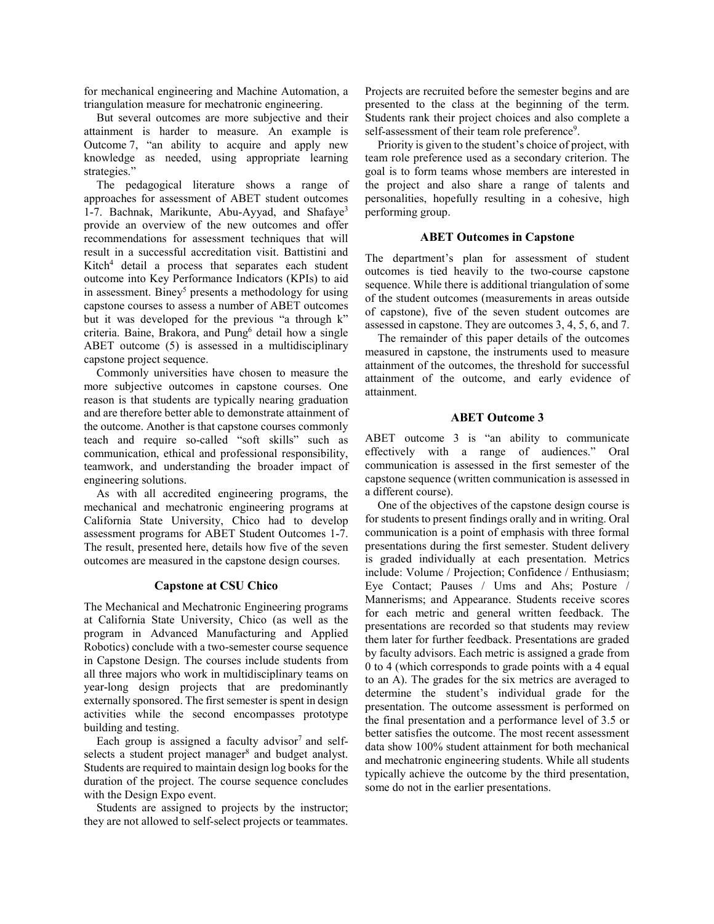for mechanical engineering and Machine Automation, a triangulation measure for mechatronic engineering.

But several outcomes are more subjective and their attainment is harder to measure. An example is Outcome 7, "an ability to acquire and apply new knowledge as needed, using appropriate learning strategies."

The pedagogical literature shows a range of approaches for assessment of ABET student outcomes 1-7. Bachnak, Marikunte, Abu-Ayyad, and Shafaye<sup>3</sup> provide an overview of the new outcomes and offer recommendations for assessment techniques that will result in a successful accreditation visit. Battistini and  $Kitch<sup>4</sup>$  detail a process that separates each student outcome into Key Performance Indicators (KPIs) to aid in assessment. Biney<sup>5</sup> presents a methodology for using capstone courses to assess a number of ABET outcomes but it was developed for the previous "a through k" criteria. Baine, Brakora, and Pung<sup>6</sup> detail how a single ABET outcome (5) is assessed in a multidisciplinary capstone project sequence.

Commonly universities have chosen to measure the more subjective outcomes in capstone courses. One reason is that students are typically nearing graduation and are therefore better able to demonstrate attainment of the outcome. Another is that capstone courses commonly teach and require so-called "soft skills" such as communication, ethical and professional responsibility, teamwork, and understanding the broader impact of engineering solutions.

As with all accredited engineering programs, the mechanical and mechatronic engineering programs at California State University, Chico had to develop assessment programs for ABET Student Outcomes 1-7. The result, presented here, details how five of the seven outcomes are measured in the capstone design courses.

#### **Capstone at CSU Chico**

The Mechanical and Mechatronic Engineering programs at California State University, Chico (as well as the program in Advanced Manufacturing and Applied Robotics) conclude with a two-semester course sequence in Capstone Design. The courses include students from all three majors who work in multidisciplinary teams on year-long design projects that are predominantly externally sponsored. The first semester is spent in design activities while the second encompasses prototype building and testing.

Each group is assigned a faculty advisor<sup>7</sup> and selfselects a student project manager<sup>8</sup> and budget analyst. Students are required to maintain design log books for the duration of the project. The course sequence concludes with the Design Expo event.

Students are assigned to projects by the instructor; they are not allowed to self-select projects or teammates.

Projects are recruited before the semester begins and are presented to the class at the beginning of the term. Students rank their project choices and also complete a self-assessment of their team role preference<sup>9</sup>.

Priority is given to the student's choice of project, with team role preference used as a secondary criterion. The goal is to form teams whose members are interested in the project and also share a range of talents and personalities, hopefully resulting in a cohesive, high performing group.

## **ABET Outcomes in Capstone**

The department's plan for assessment of student outcomes is tied heavily to the two-course capstone sequence. While there is additional triangulation of some of the student outcomes (measurements in areas outside of capstone), five of the seven student outcomes are assessed in capstone. They are outcomes 3, 4, 5, 6, and 7.

The remainder of this paper details of the outcomes measured in capstone, the instruments used to measure attainment of the outcomes, the threshold for successful attainment of the outcome, and early evidence of attainment.

## **ABET Outcome 3**

ABET outcome 3 is "an ability to communicate effectively with a range of audiences." Oral communication is assessed in the first semester of the capstone sequence (written communication is assessed in a different course).

One of the objectives of the capstone design course is for students to present findings orally and in writing. Oral communication is a point of emphasis with three formal presentations during the first semester. Student delivery is graded individually at each presentation. Metrics include: Volume / Projection; Confidence / Enthusiasm; Eye Contact; Pauses / Ums and Ahs; Posture / Mannerisms; and Appearance. Students receive scores for each metric and general written feedback. The presentations are recorded so that students may review them later for further feedback. Presentations are graded by faculty advisors. Each metric is assigned a grade from 0 to 4 (which corresponds to grade points with a 4 equal to an A). The grades for the six metrics are averaged to determine the student's individual grade for the presentation. The outcome assessment is performed on the final presentation and a performance level of 3.5 or better satisfies the outcome. The most recent assessment data show 100% student attainment for both mechanical and mechatronic engineering students. While all students typically achieve the outcome by the third presentation, some do not in the earlier presentations.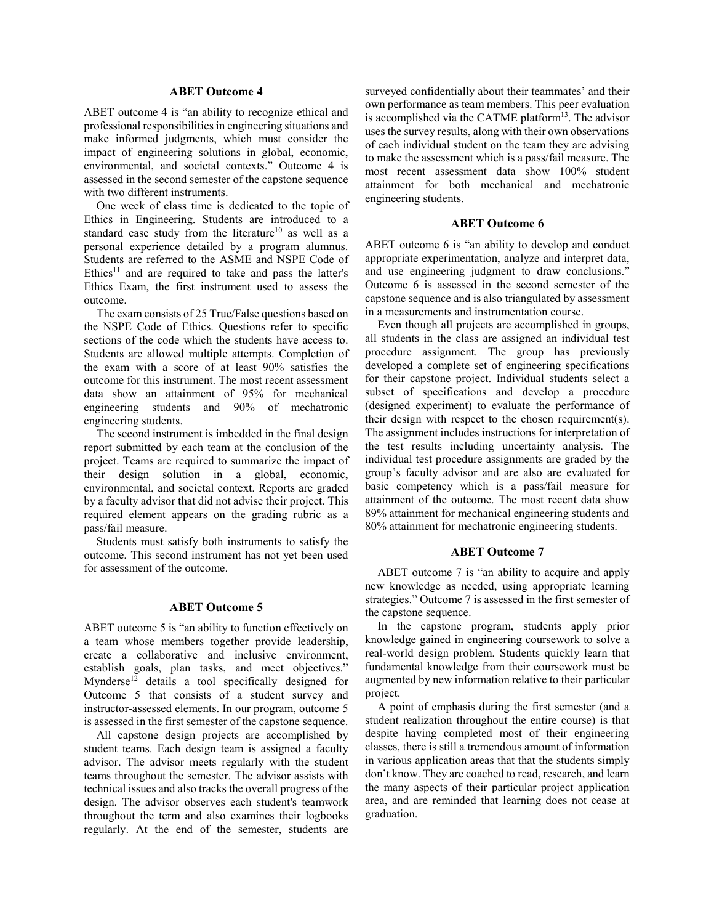## **ABET Outcome 4**

ABET outcome 4 is "an ability to recognize ethical and professional responsibilities in engineering situations and make informed judgments, which must consider the impact of engineering solutions in global, economic, environmental, and societal contexts." Outcome 4 is assessed in the second semester of the capstone sequence with two different instruments.

One week of class time is dedicated to the topic of Ethics in Engineering. Students are introduced to a standard case study from the literature<sup>10</sup> as well as a personal experience detailed by a program alumnus. Students are referred to the ASME and NSPE Code of Ethics<sup>11</sup> and are required to take and pass the latter's Ethics Exam, the first instrument used to assess the outcome.

The exam consists of 25 True/False questions based on the NSPE Code of Ethics. Questions refer to specific sections of the code which the students have access to. Students are allowed multiple attempts. Completion of the exam with a score of at least 90% satisfies the outcome for this instrument. The most recent assessment data show an attainment of 95% for mechanical engineering students and 90% of mechatronic engineering students.

The second instrument is imbedded in the final design report submitted by each team at the conclusion of the project. Teams are required to summarize the impact of their design solution in a global, economic, environmental, and societal context. Reports are graded by a faculty advisor that did not advise their project. This required element appears on the grading rubric as a pass/fail measure.

Students must satisfy both instruments to satisfy the outcome. This second instrument has not yet been used for assessment of the outcome.

#### **ABET Outcome 5**

ABET outcome 5 is "an ability to function effectively on a team whose members together provide leadership, create a collaborative and inclusive environment, establish goals, plan tasks, and meet objectives." Mynderse<sup>12</sup> details a tool specifically designed for Outcome 5 that consists of a student survey and instructor-assessed elements. In our program, outcome 5 is assessed in the first semester of the capstone sequence.

All capstone design projects are accomplished by student teams. Each design team is assigned a faculty advisor. The advisor meets regularly with the student teams throughout the semester. The advisor assists with technical issues and also tracks the overall progress of the design. The advisor observes each student's teamwork throughout the term and also examines their logbooks regularly. At the end of the semester, students are surveyed confidentially about their teammates' and their own performance as team members. This peer evaluation is accomplished via the CATME platform<sup>13</sup>. The advisor uses the survey results, along with their own observations of each individual student on the team they are advising to make the assessment which is a pass/fail measure. The most recent assessment data show 100% student attainment for both mechanical and mechatronic engineering students.

### **ABET Outcome 6**

ABET outcome 6 is "an ability to develop and conduct appropriate experimentation, analyze and interpret data, and use engineering judgment to draw conclusions." Outcome 6 is assessed in the second semester of the capstone sequence and is also triangulated by assessment in a measurements and instrumentation course.

Even though all projects are accomplished in groups, all students in the class are assigned an individual test procedure assignment. The group has previously developed a complete set of engineering specifications for their capstone project. Individual students select a subset of specifications and develop a procedure (designed experiment) to evaluate the performance of their design with respect to the chosen requirement(s). The assignment includes instructions for interpretation of the test results including uncertainty analysis. The individual test procedure assignments are graded by the group's faculty advisor and are also are evaluated for basic competency which is a pass/fail measure for attainment of the outcome. The most recent data show 89% attainment for mechanical engineering students and 80% attainment for mechatronic engineering students.

### **ABET Outcome 7**

ABET outcome 7 is "an ability to acquire and apply new knowledge as needed, using appropriate learning strategies." Outcome 7 is assessed in the first semester of the capstone sequence.

In the capstone program, students apply prior knowledge gained in engineering coursework to solve a real-world design problem. Students quickly learn that fundamental knowledge from their coursework must be augmented by new information relative to their particular project.

A point of emphasis during the first semester (and a student realization throughout the entire course) is that despite having completed most of their engineering classes, there is still a tremendous amount of information in various application areas that that the students simply don't know. They are coached to read, research, and learn the many aspects of their particular project application area, and are reminded that learning does not cease at graduation.